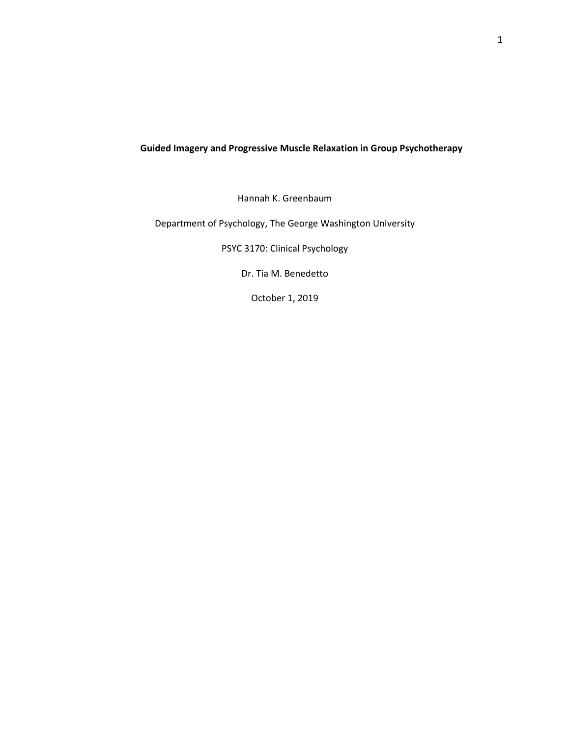## **Guided Imagery and Progressive Muscle Relaxation in Group Psychotherapy**

Hannah K. Greenbaum

# Department of Psychology, The George Washington University

PSYC 3170: Clinical Psychology

Dr. Tia M. Benedetto

October 1, 2019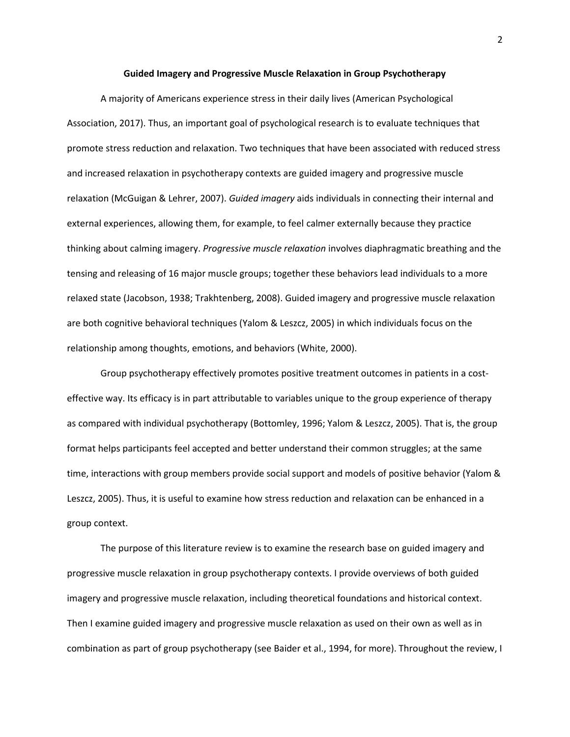#### **Guided Imagery and Progressive Muscle Relaxation in Group Psychotherapy**

A majority of Americans experience stress in their daily lives (American Psychological Association, 2017). Thus, an important goal of psychological research is to evaluate techniques that promote stress reduction and relaxation. Two techniques that have been associated with reduced stress and increased relaxation in psychotherapy contexts are guided imagery and progressive muscle relaxation (McGuigan & Lehrer, 2007). *Guided imagery* aids individuals in connecting their internal and external experiences, allowing them, for example, to feel calmer externally because they practice thinking about calming imagery. *Progressive muscle relaxation* involves diaphragmatic breathing and the tensing and releasing of 16 major muscle groups; together these behaviors lead individuals to a more relaxed state (Jacobson, 1938; Trakhtenberg, 2008). Guided imagery and progressive muscle relaxation are both cognitive behavioral techniques (Yalom & Leszcz, 2005) in which individuals focus on the relationship among thoughts, emotions, and behaviors (White, 2000).

Group psychotherapy effectively promotes positive treatment outcomes in patients in a costeffective way. Its efficacy is in part attributable to variables unique to the group experience of therapy as compared with individual psychotherapy (Bottomley, 1996; Yalom & Leszcz, 2005). That is, the group format helps participants feel accepted and better understand their common struggles; at the same time, interactions with group members provide social support and models of positive behavior (Yalom & Leszcz, 2005). Thus, it is useful to examine how stress reduction and relaxation can be enhanced in a group context.

The purpose of this literature review is to examine the research base on guided imagery and progressive muscle relaxation in group psychotherapy contexts. I provide overviews of both guided imagery and progressive muscle relaxation, including theoretical foundations and historical context. Then I examine guided imagery and progressive muscle relaxation as used on their own as well as in combination as part of group psychotherapy (see Baider et al., 1994, for more). Throughout the review, I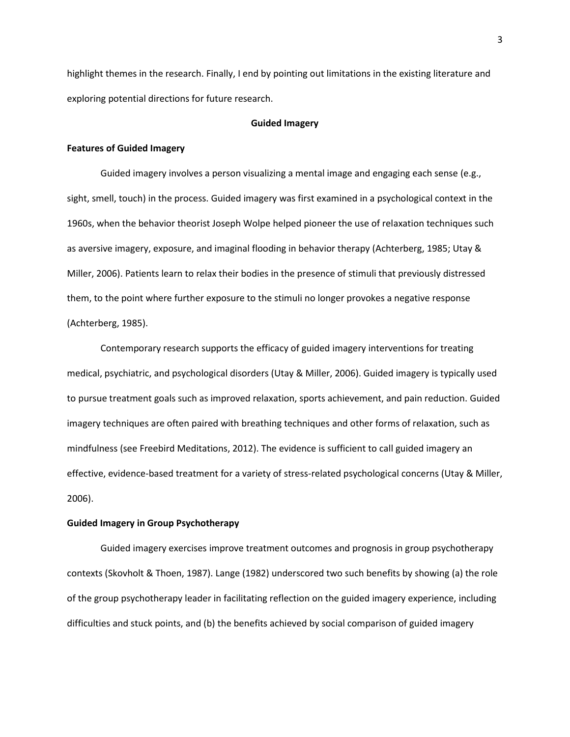highlight themes in the research. Finally, I end by pointing out limitations in the existing literature and exploring potential directions for future research.

## **Guided Imagery**

## **Features of Guided Imagery**

Guided imagery involves a person visualizing a mental image and engaging each sense (e.g., sight, smell, touch) in the process. Guided imagery was first examined in a psychological context in the 1960s, when the behavior theorist Joseph Wolpe helped pioneer the use of relaxation techniques such as aversive imagery, exposure, and imaginal flooding in behavior therapy (Achterberg, 1985; Utay & Miller, 2006). Patients learn to relax their bodies in the presence of stimuli that previously distressed them, to the point where further exposure to the stimuli no longer provokes a negative response (Achterberg, 1985).

Contemporary research supports the efficacy of guided imagery interventions for treating medical, psychiatric, and psychological disorders (Utay & Miller, 2006). Guided imagery is typically used to pursue treatment goals such as improved relaxation, sports achievement, and pain reduction. Guided imagery techniques are often paired with breathing techniques and other forms of relaxation, such as mindfulness (see Freebird Meditations, 2012). The evidence is sufficient to call guided imagery an effective, evidence-based treatment for a variety of stress-related psychological concerns (Utay & Miller, 2006).

#### **Guided Imagery in Group Psychotherapy**

Guided imagery exercises improve treatment outcomes and prognosis in group psychotherapy contexts (Skovholt & Thoen, 1987). Lange (1982) underscored two such benefits by showing (a) the role of the group psychotherapy leader in facilitating reflection on the guided imagery experience, including difficulties and stuck points, and (b) the benefits achieved by social comparison of guided imagery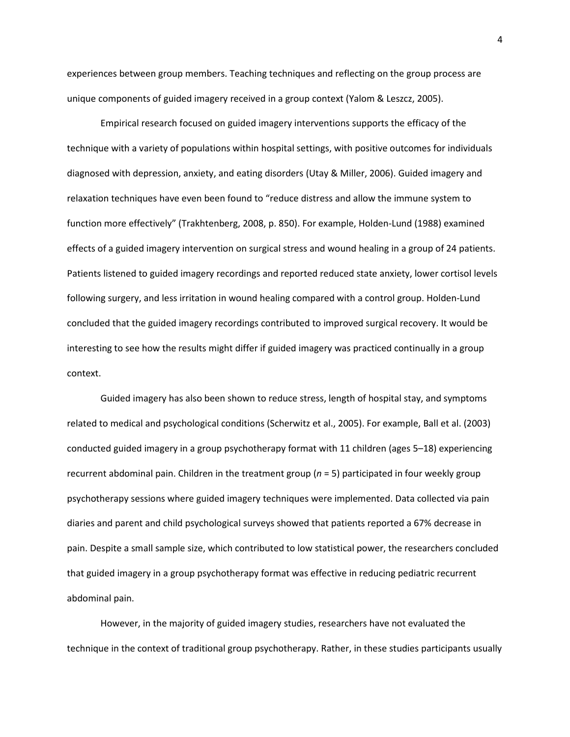experiences between group members. Teaching techniques and reflecting on the group process are unique components of guided imagery received in a group context (Yalom & Leszcz, 2005).

Empirical research focused on guided imagery interventions supports the efficacy of the technique with a variety of populations within hospital settings, with positive outcomes for individuals diagnosed with depression, anxiety, and eating disorders (Utay & Miller, 2006). Guided imagery and relaxation techniques have even been found to "reduce distress and allow the immune system to function more effectively" (Trakhtenberg, 2008, p. 850). For example, Holden-Lund (1988) examined effects of a guided imagery intervention on surgical stress and wound healing in a group of 24 patients. Patients listened to guided imagery recordings and reported reduced state anxiety, lower cortisol levels following surgery, and less irritation in wound healing compared with a control group. Holden-Lund concluded that the guided imagery recordings contributed to improved surgical recovery. It would be interesting to see how the results might differ if guided imagery was practiced continually in a group context.

Guided imagery has also been shown to reduce stress, length of hospital stay, and symptoms related to medical and psychological conditions (Scherwitz et al., 2005). For example, Ball et al. (2003) conducted guided imagery in a group psychotherapy format with 11 children (ages 5–18) experiencing recurrent abdominal pain. Children in the treatment group (*n* = 5) participated in four weekly group psychotherapy sessions where guided imagery techniques were implemented. Data collected via pain diaries and parent and child psychological surveys showed that patients reported a 67% decrease in pain. Despite a small sample size, which contributed to low statistical power, the researchers concluded that guided imagery in a group psychotherapy format was effective in reducing pediatric recurrent abdominal pain.

However, in the majority of guided imagery studies, researchers have not evaluated the technique in the context of traditional group psychotherapy. Rather, in these studies participants usually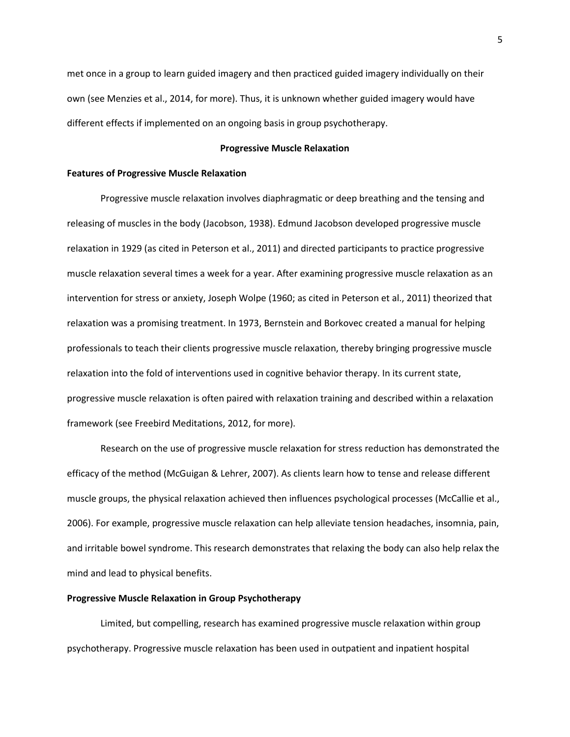met once in a group to learn guided imagery and then practiced guided imagery individually on their own (see Menzies et al., 2014, for more). Thus, it is unknown whether guided imagery would have different effects if implemented on an ongoing basis in group psychotherapy.

#### **Progressive Muscle Relaxation**

#### **Features of Progressive Muscle Relaxation**

Progressive muscle relaxation involves diaphragmatic or deep breathing and the tensing and releasing of muscles in the body (Jacobson, 1938). Edmund Jacobson developed progressive muscle relaxation in 1929 (as cited in Peterson et al., 2011) and directed participants to practice progressive muscle relaxation several times a week for a year. After examining progressive muscle relaxation as an intervention for stress or anxiety, Joseph Wolpe (1960; as cited in Peterson et al., 2011) theorized that relaxation was a promising treatment. In 1973, Bernstein and Borkovec created a manual for helping professionals to teach their clients progressive muscle relaxation, thereby bringing progressive muscle relaxation into the fold of interventions used in cognitive behavior therapy. In its current state, progressive muscle relaxation is often paired with relaxation training and described within a relaxation framework (see Freebird Meditations, 2012, for more).

Research on the use of progressive muscle relaxation for stress reduction has demonstrated the efficacy of the method (McGuigan & Lehrer, 2007). As clients learn how to tense and release different muscle groups, the physical relaxation achieved then influences psychological processes (McCallie et al., 2006). For example, progressive muscle relaxation can help alleviate tension headaches, insomnia, pain, and irritable bowel syndrome. This research demonstrates that relaxing the body can also help relax the mind and lead to physical benefits.

## **Progressive Muscle Relaxation in Group Psychotherapy**

Limited, but compelling, research has examined progressive muscle relaxation within group psychotherapy. Progressive muscle relaxation has been used in outpatient and inpatient hospital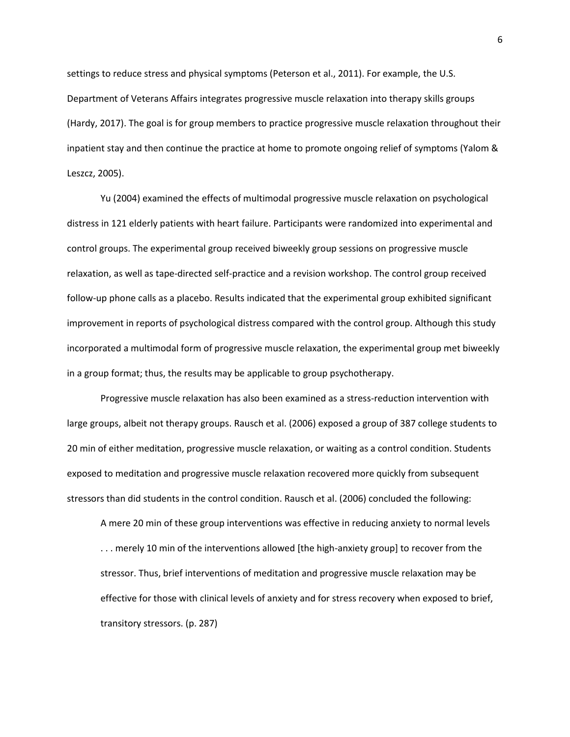settings to reduce stress and physical symptoms (Peterson et al., 2011). For example, the U.S. Department of Veterans Affairs integrates progressive muscle relaxation into therapy skills groups (Hardy, 2017). The goal is for group members to practice progressive muscle relaxation throughout their inpatient stay and then continue the practice at home to promote ongoing relief of symptoms (Yalom & Leszcz, 2005).

Yu (2004) examined the effects of multimodal progressive muscle relaxation on psychological distress in 121 elderly patients with heart failure. Participants were randomized into experimental and control groups. The experimental group received biweekly group sessions on progressive muscle relaxation, as well as tape-directed self-practice and a revision workshop. The control group received follow-up phone calls as a placebo. Results indicated that the experimental group exhibited significant improvement in reports of psychological distress compared with the control group. Although this study incorporated a multimodal form of progressive muscle relaxation, the experimental group met biweekly in a group format; thus, the results may be applicable to group psychotherapy.

Progressive muscle relaxation has also been examined as a stress-reduction intervention with large groups, albeit not therapy groups. Rausch et al. (2006) exposed a group of 387 college students to 20 min of either meditation, progressive muscle relaxation, or waiting as a control condition. Students exposed to meditation and progressive muscle relaxation recovered more quickly from subsequent stressors than did students in the control condition. Rausch et al. (2006) concluded the following:

A mere 20 min of these group interventions was effective in reducing anxiety to normal levels . . . merely 10 min of the interventions allowed [the high-anxiety group] to recover from the stressor. Thus, brief interventions of meditation and progressive muscle relaxation may be effective for those with clinical levels of anxiety and for stress recovery when exposed to brief, transitory stressors. (p. 287)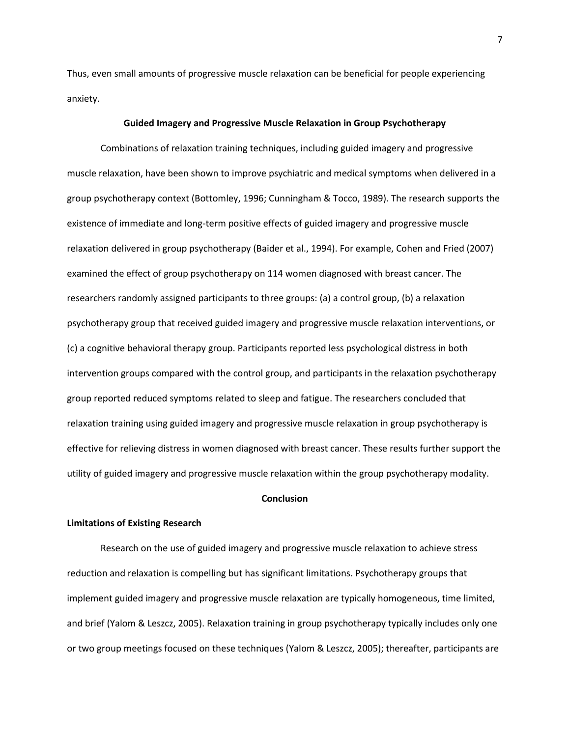Thus, even small amounts of progressive muscle relaxation can be beneficial for people experiencing anxiety.

## **Guided Imagery and Progressive Muscle Relaxation in Group Psychotherapy**

Combinations of relaxation training techniques, including guided imagery and progressive muscle relaxation, have been shown to improve psychiatric and medical symptoms when delivered in a group psychotherapy context (Bottomley, 1996; Cunningham & Tocco, 1989). The research supports the existence of immediate and long-term positive effects of guided imagery and progressive muscle relaxation delivered in group psychotherapy (Baider et al., 1994). For example, Cohen and Fried (2007) examined the effect of group psychotherapy on 114 women diagnosed with breast cancer. The researchers randomly assigned participants to three groups: (a) a control group, (b) a relaxation psychotherapy group that received guided imagery and progressive muscle relaxation interventions, or (c) a cognitive behavioral therapy group. Participants reported less psychological distress in both intervention groups compared with the control group, and participants in the relaxation psychotherapy group reported reduced symptoms related to sleep and fatigue. The researchers concluded that relaxation training using guided imagery and progressive muscle relaxation in group psychotherapy is effective for relieving distress in women diagnosed with breast cancer. These results further support the utility of guided imagery and progressive muscle relaxation within the group psychotherapy modality.

#### **Conclusion**

#### **Limitations of Existing Research**

Research on the use of guided imagery and progressive muscle relaxation to achieve stress reduction and relaxation is compelling but has significant limitations. Psychotherapy groups that implement guided imagery and progressive muscle relaxation are typically homogeneous, time limited, and brief (Yalom & Leszcz, 2005). Relaxation training in group psychotherapy typically includes only one or two group meetings focused on these techniques (Yalom & Leszcz, 2005); thereafter, participants are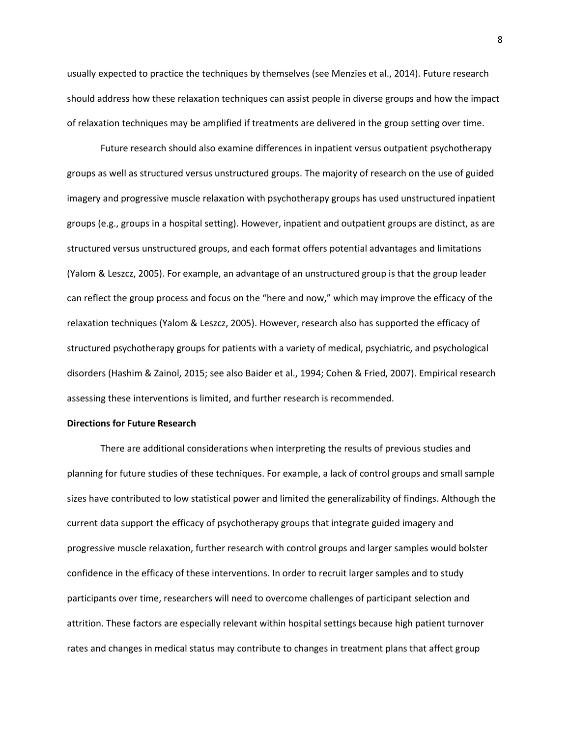usually expected to practice the techniques by themselves (see Menzies et al., 2014). Future research should address how these relaxation techniques can assist people in diverse groups and how the impact of relaxation techniques may be amplified if treatments are delivered in the group setting over time.

Future research should also examine differences in inpatient versus outpatient psychotherapy groups as well as structured versus unstructured groups. The majority of research on the use of guided imagery and progressive muscle relaxation with psychotherapy groups has used unstructured inpatient groups (e.g., groups in a hospital setting). However, inpatient and outpatient groups are distinct, as are structured versus unstructured groups, and each format offers potential advantages and limitations (Yalom & Leszcz, 2005). For example, an advantage of an unstructured group is that the group leader can reflect the group process and focus on the "here and now," which may improve the efficacy of the relaxation techniques (Yalom & Leszcz, 2005). However, research also has supported the efficacy of structured psychotherapy groups for patients with a variety of medical, psychiatric, and psychological disorders (Hashim & Zainol, 2015; see also Baider et al., 1994; Cohen & Fried, 2007). Empirical research assessing these interventions is limited, and further research is recommended.

## **Directions for Future Research**

There are additional considerations when interpreting the results of previous studies and planning for future studies of these techniques. For example, a lack of control groups and small sample sizes have contributed to low statistical power and limited the generalizability of findings. Although the current data support the efficacy of psychotherapy groups that integrate guided imagery and progressive muscle relaxation, further research with control groups and larger samples would bolster confidence in the efficacy of these interventions. In order to recruit larger samples and to study participants over time, researchers will need to overcome challenges of participant selection and attrition. These factors are especially relevant within hospital settings because high patient turnover rates and changes in medical status may contribute to changes in treatment plans that affect group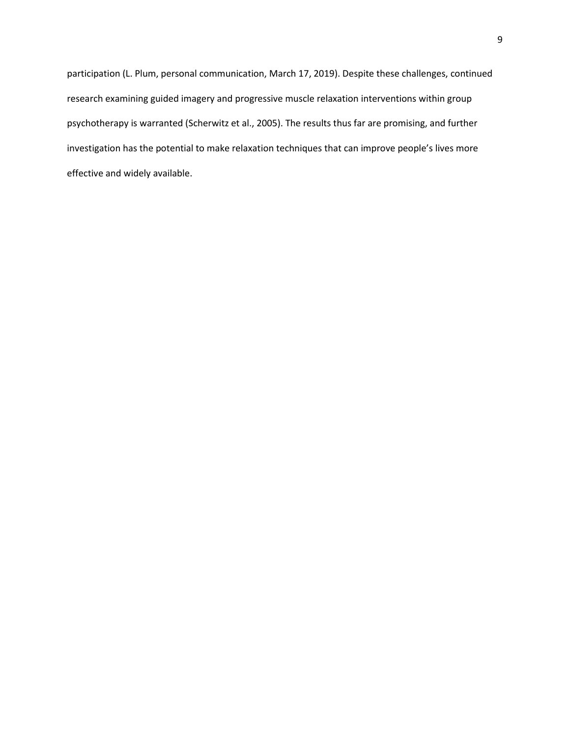participation (L. Plum, personal communication, March 17, 2019). Despite these challenges, continued research examining guided imagery and progressive muscle relaxation interventions within group psychotherapy is warranted (Scherwitz et al., 2005). The results thus far are promising, and further investigation has the potential to make relaxation techniques that can improve people's lives more effective and widely available.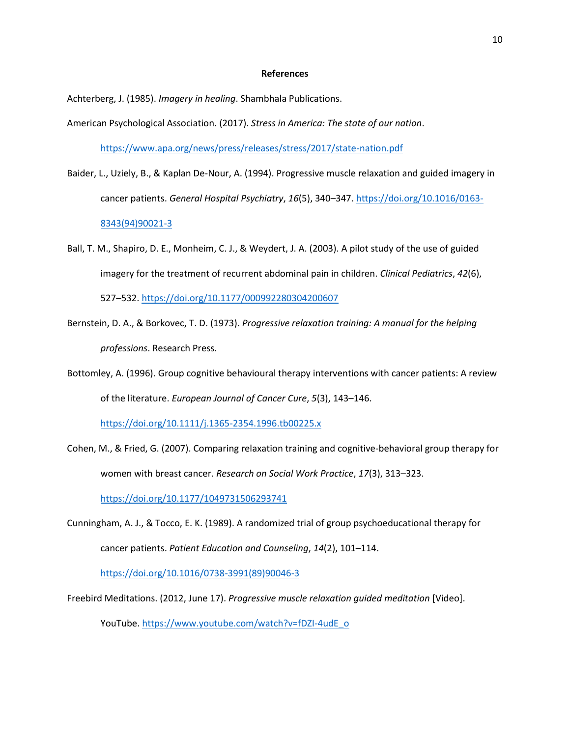#### **References**

Achterberg, J. (1985). *Imagery in healing*. Shambhala Publications.

American Psychological Association. (2017). *Stress in America: The state of our nation*.

<https://www.apa.org/news/press/releases/stress/2017/state-nation.pdf>

- Baider, L., Uziely, B., & Kaplan De-Nour, A. (1994). Progressive muscle relaxation and guided imagery in cancer patients. *General Hospital Psychiatry*, *16*(5), 340–347[. https://doi.org/10.1016/0163-](https://doi.org/10.1016/0163-8343(94)90021-3) [8343\(94\)90021-3](https://doi.org/10.1016/0163-8343(94)90021-3)
- Ball, T. M., Shapiro, D. E., Monheim, C. J., & Weydert, J. A. (2003). A pilot study of the use of guided imagery for the treatment of recurrent abdominal pain in children. *Clinical Pediatrics*, *42*(6), 527–532.<https://doi.org/10.1177/000992280304200607>
- Bernstein, D. A., & Borkovec, T. D. (1973). *Progressive relaxation training: A manual for the helping professions*. Research Press.
- Bottomley, A. (1996). Group cognitive behavioural therapy interventions with cancer patients: A review of the literature. *European Journal of Cancer Cure*, *5*(3), 143–146.

<https://doi.org/10.1111/j.1365-2354.1996.tb00225.x>

Cohen, M., & Fried, G. (2007). Comparing relaxation training and cognitive-behavioral group therapy for women with breast cancer. *Research on Social Work Practice*, *17*(3), 313–323.

<https://doi.org/10.1177/1049731506293741>

Cunningham, A. J., & Tocco, E. K. (1989). A randomized trial of group psychoeducational therapy for cancer patients. *Patient Education and Counseling*, *14*(2), 101–114.

[https://doi.org/10.1016/0738-3991\(89\)90046-3](https://doi.org/10.1016/0738-3991(89)90046-3)

Freebird Meditations. (2012, June 17). *Progressive muscle relaxation guided meditation* [Video]. YouTube[. https://www.youtube.com/watch?v=fDZI-4udE\\_o](https://www.youtube.com/watch?v=fDZI-4udE_o)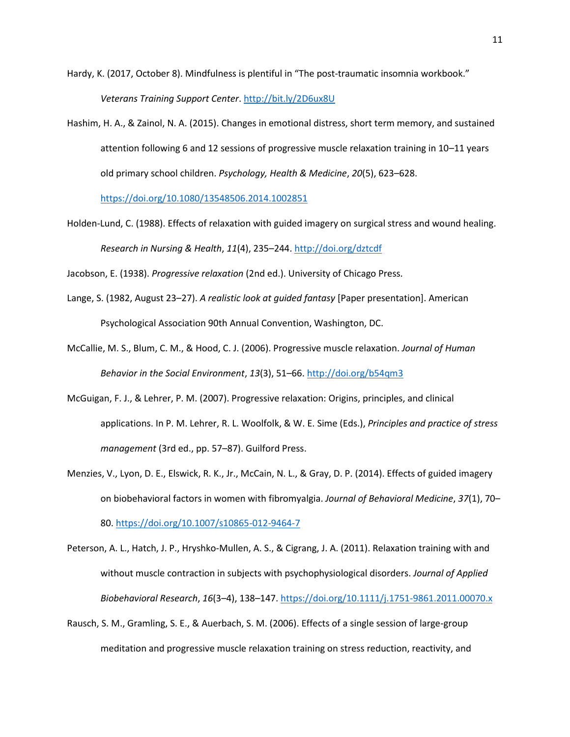Hardy, K. (2017, October 8). Mindfulness is plentiful in "The post-traumatic insomnia workbook." *Veterans Training Support Center*[. http://bit.ly/2D6ux8U](http://bit.ly/2D6ux8U)

Hashim, H. A., & Zainol, N. A. (2015). Changes in emotional distress, short term memory, and sustained attention following 6 and 12 sessions of progressive muscle relaxation training in 10–11 years old primary school children. *Psychology, Health & Medicine*, *20*(5), 623–628.

<https://doi.org/10.1080/13548506.2014.1002851>

Holden-Lund, C. (1988). Effects of relaxation with guided imagery on surgical stress and wound healing. *Research in Nursing & Health*, *11*(4), 235–244.<http://doi.org/dztcdf>

Jacobson, E. (1938). *Progressive relaxation* (2nd ed.). University of Chicago Press.

- Lange, S. (1982, August 23–27). *A realistic look at guided fantasy* [Paper presentation]. American Psychological Association 90th Annual Convention, Washington, DC.
- McCallie, M. S., Blum, C. M., & Hood, C. J. (2006). Progressive muscle relaxation. *Journal of Human Behavior in the Social Environment*, *13*(3), 51–66[. http://doi.org/b54qm3](http://doi.org/b54qm3)
- McGuigan, F. J., & Lehrer, P. M. (2007). Progressive relaxation: Origins, principles, and clinical applications. In P. M. Lehrer, R. L. Woolfolk, & W. E. Sime (Eds.), *Principles and practice of stress management* (3rd ed., pp. 57–87). Guilford Press.
- Menzies, V., Lyon, D. E., Elswick, R. K., Jr., McCain, N. L., & Gray, D. P. (2014). Effects of guided imagery on biobehavioral factors in women with fibromyalgia. *Journal of Behavioral Medicine*, *37*(1), 70– 80[. https://doi.org/10.1007/s10865-012-9464-7](https://doi.org/10.1007/s10865-012-9464-7)
- Peterson, A. L., Hatch, J. P., Hryshko-Mullen, A. S., & Cigrang, J. A. (2011). Relaxation training with and without muscle contraction in subjects with psychophysiological disorders. *Journal of Applied Biobehavioral Research*, *16*(3–4), 138–147[. https://doi.org/10.1111/j.1751-9861.2011.00070.x](https://doi.org/10.1111/j.1751-9861.2011.00070.x)
- Rausch, S. M., Gramling, S. E., & Auerbach, S. M. (2006). Effects of a single session of large-group meditation and progressive muscle relaxation training on stress reduction, reactivity, and